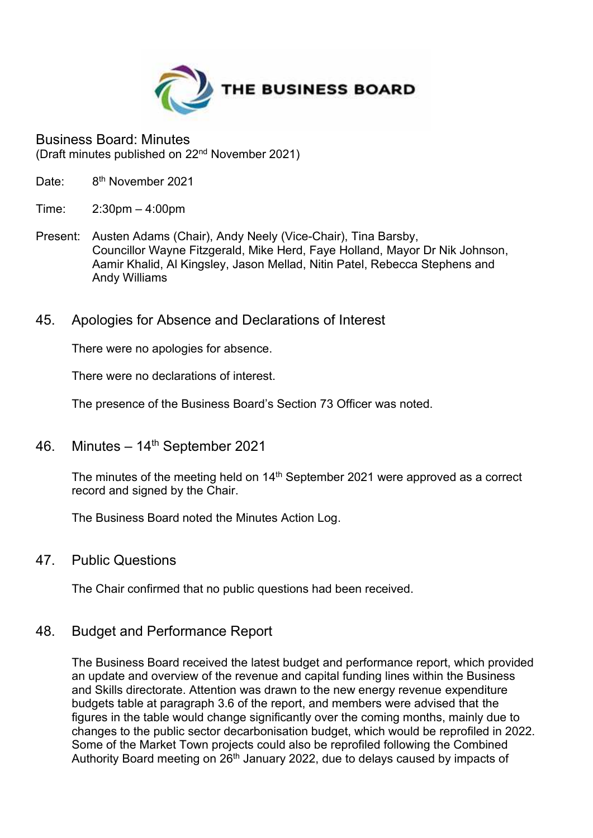

Business Board: Minutes (Draft minutes published on 22nd November 2021)

- Date: 8<sup>th</sup> November 2021
- Time: 2:30pm 4:00pm
- Present: Austen Adams (Chair), Andy Neely (Vice-Chair), Tina Barsby, Councillor Wayne Fitzgerald, Mike Herd, Faye Holland, Mayor Dr Nik Johnson, Aamir Khalid, Al Kingsley, Jason Mellad, Nitin Patel, Rebecca Stephens and Andy Williams
- 45. Apologies for Absence and Declarations of Interest

There were no apologies for absence.

There were no declarations of interest.

The presence of the Business Board's Section 73 Officer was noted.

46. Minutes –  $14<sup>th</sup>$  September 2021

The minutes of the meeting held on 14<sup>th</sup> September 2021 were approved as a correct record and signed by the Chair.

The Business Board noted the Minutes Action Log.

47. Public Questions

The Chair confirmed that no public questions had been received.

## 48. Budget and Performance Report

The Business Board received the latest budget and performance report, which provided an update and overview of the revenue and capital funding lines within the Business and Skills directorate. Attention was drawn to the new energy revenue expenditure budgets table at paragraph 3.6 of the report, and members were advised that the figures in the table would change significantly over the coming months, mainly due to changes to the public sector decarbonisation budget, which would be reprofiled in 2022. Some of the Market Town projects could also be reprofiled following the Combined Authority Board meeting on 26<sup>th</sup> January 2022, due to delays caused by impacts of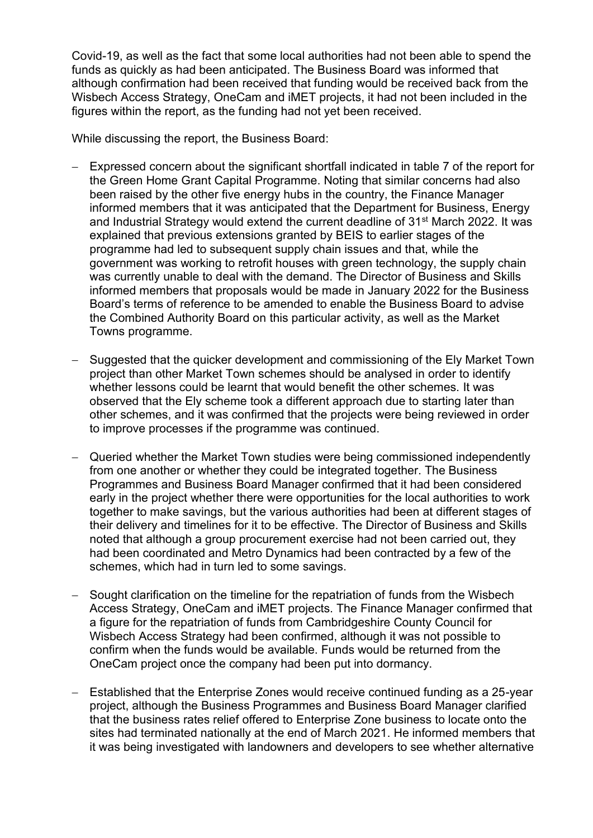Covid-19, as well as the fact that some local authorities had not been able to spend the funds as quickly as had been anticipated. The Business Board was informed that although confirmation had been received that funding would be received back from the Wisbech Access Strategy, OneCam and iMET projects, it had not been included in the figures within the report, as the funding had not yet been received.

While discussing the report, the Business Board:

- Expressed concern about the significant shortfall indicated in table 7 of the report for the Green Home Grant Capital Programme. Noting that similar concerns had also been raised by the other five energy hubs in the country, the Finance Manager informed members that it was anticipated that the Department for Business, Energy and Industrial Strategy would extend the current deadline of 31<sup>st</sup> March 2022. It was explained that previous extensions granted by BEIS to earlier stages of the programme had led to subsequent supply chain issues and that, while the government was working to retrofit houses with green technology, the supply chain was currently unable to deal with the demand. The Director of Business and Skills informed members that proposals would be made in January 2022 for the Business Board's terms of reference to be amended to enable the Business Board to advise the Combined Authority Board on this particular activity, as well as the Market Towns programme.
- Suggested that the quicker development and commissioning of the Ely Market Town project than other Market Town schemes should be analysed in order to identify whether lessons could be learnt that would benefit the other schemes. It was observed that the Ely scheme took a different approach due to starting later than other schemes, and it was confirmed that the projects were being reviewed in order to improve processes if the programme was continued.
- − Queried whether the Market Town studies were being commissioned independently from one another or whether they could be integrated together. The Business Programmes and Business Board Manager confirmed that it had been considered early in the project whether there were opportunities for the local authorities to work together to make savings, but the various authorities had been at different stages of their delivery and timelines for it to be effective. The Director of Business and Skills noted that although a group procurement exercise had not been carried out, they had been coordinated and Metro Dynamics had been contracted by a few of the schemes, which had in turn led to some savings.
- − Sought clarification on the timeline for the repatriation of funds from the Wisbech Access Strategy, OneCam and iMET projects. The Finance Manager confirmed that a figure for the repatriation of funds from Cambridgeshire County Council for Wisbech Access Strategy had been confirmed, although it was not possible to confirm when the funds would be available. Funds would be returned from the OneCam project once the company had been put into dormancy.
- − Established that the Enterprise Zones would receive continued funding as a 25-year project, although the Business Programmes and Business Board Manager clarified that the business rates relief offered to Enterprise Zone business to locate onto the sites had terminated nationally at the end of March 2021. He informed members that it was being investigated with landowners and developers to see whether alternative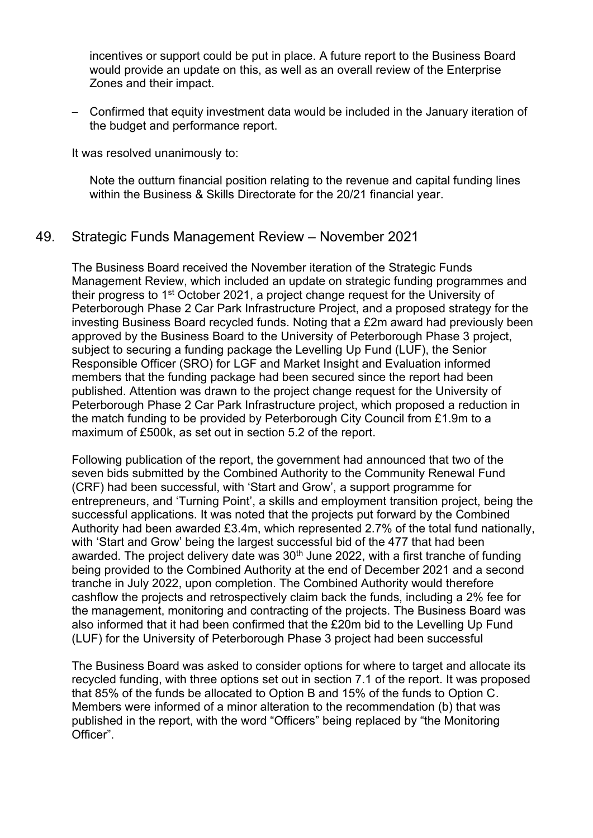incentives or support could be put in place. A future report to the Business Board would provide an update on this, as well as an overall review of the Enterprise Zones and their impact.

− Confirmed that equity investment data would be included in the January iteration of the budget and performance report.

It was resolved unanimously to:

Note the outturn financial position relating to the revenue and capital funding lines within the Business & Skills Directorate for the 20/21 financial year.

## 49. Strategic Funds Management Review – November 2021

The Business Board received the November iteration of the Strategic Funds Management Review, which included an update on strategic funding programmes and their progress to 1<sup>st</sup> October 2021, a project change request for the University of Peterborough Phase 2 Car Park Infrastructure Project, and a proposed strategy for the investing Business Board recycled funds. Noting that a £2m award had previously been approved by the Business Board to the University of Peterborough Phase 3 project, subject to securing a funding package the Levelling Up Fund (LUF), the Senior Responsible Officer (SRO) for LGF and Market Insight and Evaluation informed members that the funding package had been secured since the report had been published. Attention was drawn to the project change request for the University of Peterborough Phase 2 Car Park Infrastructure project, which proposed a reduction in the match funding to be provided by Peterborough City Council from £1.9m to a maximum of £500k, as set out in section 5.2 of the report.

Following publication of the report, the government had announced that two of the seven bids submitted by the Combined Authority to the Community Renewal Fund (CRF) had been successful, with 'Start and Grow', a support programme for entrepreneurs, and 'Turning Point', a skills and employment transition project, being the successful applications. It was noted that the projects put forward by the Combined Authority had been awarded £3.4m, which represented 2.7% of the total fund nationally, with 'Start and Grow' being the largest successful bid of the 477 that had been awarded. The project delivery date was  $30<sup>th</sup>$  June 2022, with a first tranche of funding being provided to the Combined Authority at the end of December 2021 and a second tranche in July 2022, upon completion. The Combined Authority would therefore cashflow the projects and retrospectively claim back the funds, including a 2% fee for the management, monitoring and contracting of the projects. The Business Board was also informed that it had been confirmed that the £20m bid to the Levelling Up Fund (LUF) for the University of Peterborough Phase 3 project had been successful

The Business Board was asked to consider options for where to target and allocate its recycled funding, with three options set out in section 7.1 of the report. It was proposed that 85% of the funds be allocated to Option B and 15% of the funds to Option C. Members were informed of a minor alteration to the recommendation (b) that was published in the report, with the word "Officers" being replaced by "the Monitoring Officer".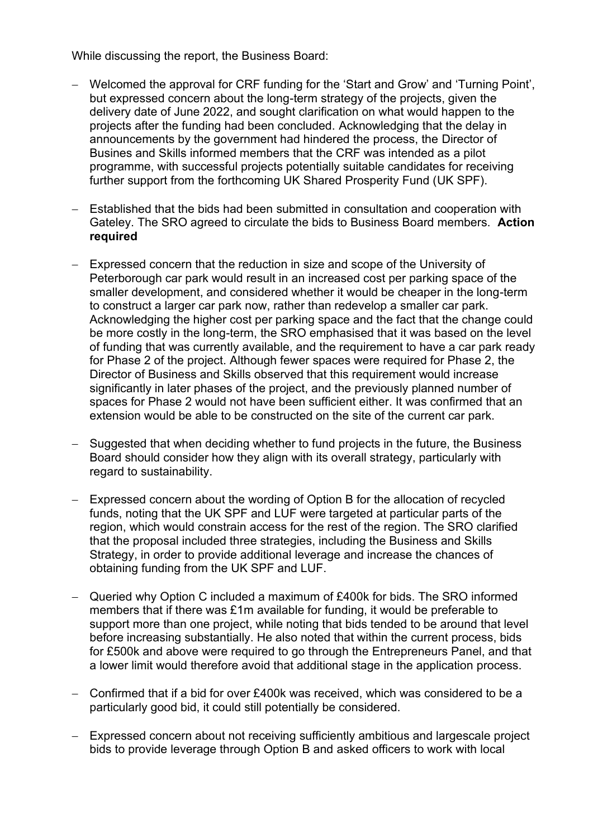While discussing the report, the Business Board:

- − Welcomed the approval for CRF funding for the 'Start and Grow' and 'Turning Point', but expressed concern about the long-term strategy of the projects, given the delivery date of June 2022, and sought clarification on what would happen to the projects after the funding had been concluded. Acknowledging that the delay in announcements by the government had hindered the process, the Director of Busines and Skills informed members that the CRF was intended as a pilot programme, with successful projects potentially suitable candidates for receiving further support from the forthcoming UK Shared Prosperity Fund (UK SPF).
- − Established that the bids had been submitted in consultation and cooperation with Gateley. The SRO agreed to circulate the bids to Business Board members. **Action required**
- − Expressed concern that the reduction in size and scope of the University of Peterborough car park would result in an increased cost per parking space of the smaller development, and considered whether it would be cheaper in the long-term to construct a larger car park now, rather than redevelop a smaller car park. Acknowledging the higher cost per parking space and the fact that the change could be more costly in the long-term, the SRO emphasised that it was based on the level of funding that was currently available, and the requirement to have a car park ready for Phase 2 of the project. Although fewer spaces were required for Phase 2, the Director of Business and Skills observed that this requirement would increase significantly in later phases of the project, and the previously planned number of spaces for Phase 2 would not have been sufficient either. It was confirmed that an extension would be able to be constructed on the site of the current car park.
- − Suggested that when deciding whether to fund projects in the future, the Business Board should consider how they align with its overall strategy, particularly with regard to sustainability.
- − Expressed concern about the wording of Option B for the allocation of recycled funds, noting that the UK SPF and LUF were targeted at particular parts of the region, which would constrain access for the rest of the region. The SRO clarified that the proposal included three strategies, including the Business and Skills Strategy, in order to provide additional leverage and increase the chances of obtaining funding from the UK SPF and LUF.
- − Queried why Option C included a maximum of £400k for bids. The SRO informed members that if there was £1m available for funding, it would be preferable to support more than one project, while noting that bids tended to be around that level before increasing substantially. He also noted that within the current process, bids for £500k and above were required to go through the Entrepreneurs Panel, and that a lower limit would therefore avoid that additional stage in the application process.
- − Confirmed that if a bid for over £400k was received, which was considered to be a particularly good bid, it could still potentially be considered.
- − Expressed concern about not receiving sufficiently ambitious and largescale project bids to provide leverage through Option B and asked officers to work with local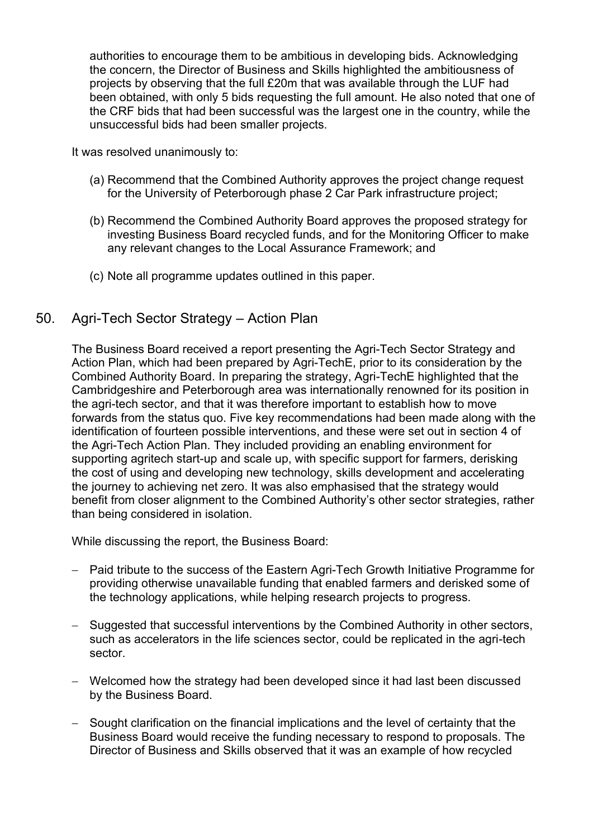authorities to encourage them to be ambitious in developing bids. Acknowledging the concern, the Director of Business and Skills highlighted the ambitiousness of projects by observing that the full £20m that was available through the LUF had been obtained, with only 5 bids requesting the full amount. He also noted that one of the CRF bids that had been successful was the largest one in the country, while the unsuccessful bids had been smaller projects.

It was resolved unanimously to:

- (a) Recommend that the Combined Authority approves the project change request for the University of Peterborough phase 2 Car Park infrastructure project;
- (b) Recommend the Combined Authority Board approves the proposed strategy for investing Business Board recycled funds, and for the Monitoring Officer to make any relevant changes to the Local Assurance Framework; and
- (c) Note all programme updates outlined in this paper.
- 50. Agri-Tech Sector Strategy Action Plan

The Business Board received a report presenting the Agri-Tech Sector Strategy and Action Plan, which had been prepared by Agri-TechE, prior to its consideration by the Combined Authority Board. In preparing the strategy, Agri-TechE highlighted that the Cambridgeshire and Peterborough area was internationally renowned for its position in the agri-tech sector, and that it was therefore important to establish how to move forwards from the status quo. Five key recommendations had been made along with the identification of fourteen possible interventions, and these were set out in section 4 of the Agri-Tech Action Plan. They included providing an enabling environment for supporting agritech start-up and scale up, with specific support for farmers, derisking the cost of using and developing new technology, skills development and accelerating the journey to achieving net zero. It was also emphasised that the strategy would benefit from closer alignment to the Combined Authority's other sector strategies, rather than being considered in isolation.

While discussing the report, the Business Board:

- − Paid tribute to the success of the Eastern Agri-Tech Growth Initiative Programme for providing otherwise unavailable funding that enabled farmers and derisked some of the technology applications, while helping research projects to progress.
- − Suggested that successful interventions by the Combined Authority in other sectors, such as accelerators in the life sciences sector, could be replicated in the agri-tech sector.
- − Welcomed how the strategy had been developed since it had last been discussed by the Business Board.
- − Sought clarification on the financial implications and the level of certainty that the Business Board would receive the funding necessary to respond to proposals. The Director of Business and Skills observed that it was an example of how recycled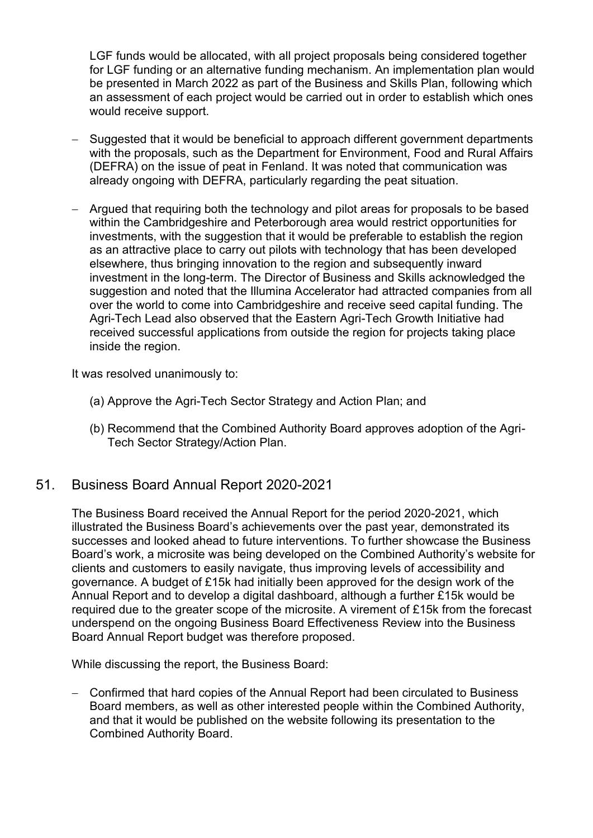LGF funds would be allocated, with all project proposals being considered together for LGF funding or an alternative funding mechanism. An implementation plan would be presented in March 2022 as part of the Business and Skills Plan, following which an assessment of each project would be carried out in order to establish which ones would receive support.

- − Suggested that it would be beneficial to approach different government departments with the proposals, such as the Department for Environment, Food and Rural Affairs (DEFRA) on the issue of peat in Fenland. It was noted that communication was already ongoing with DEFRA, particularly regarding the peat situation.
- − Argued that requiring both the technology and pilot areas for proposals to be based within the Cambridgeshire and Peterborough area would restrict opportunities for investments, with the suggestion that it would be preferable to establish the region as an attractive place to carry out pilots with technology that has been developed elsewhere, thus bringing innovation to the region and subsequently inward investment in the long-term. The Director of Business and Skills acknowledged the suggestion and noted that the Illumina Accelerator had attracted companies from all over the world to come into Cambridgeshire and receive seed capital funding. The Agri-Tech Lead also observed that the Eastern Agri-Tech Growth Initiative had received successful applications from outside the region for projects taking place inside the region.

It was resolved unanimously to:

- (a) Approve the Agri-Tech Sector Strategy and Action Plan; and
- (b) Recommend that the Combined Authority Board approves adoption of the Agri-Tech Sector Strategy/Action Plan.

## 51. Business Board Annual Report 2020-2021

The Business Board received the Annual Report for the period 2020-2021, which illustrated the Business Board's achievements over the past year, demonstrated its successes and looked ahead to future interventions. To further showcase the Business Board's work, a microsite was being developed on the Combined Authority's website for clients and customers to easily navigate, thus improving levels of accessibility and governance. A budget of £15k had initially been approved for the design work of the Annual Report and to develop a digital dashboard, although a further £15k would be required due to the greater scope of the microsite. A virement of £15k from the forecast underspend on the ongoing Business Board Effectiveness Review into the Business Board Annual Report budget was therefore proposed.

While discussing the report, the Business Board:

− Confirmed that hard copies of the Annual Report had been circulated to Business Board members, as well as other interested people within the Combined Authority, and that it would be published on the website following its presentation to the Combined Authority Board.